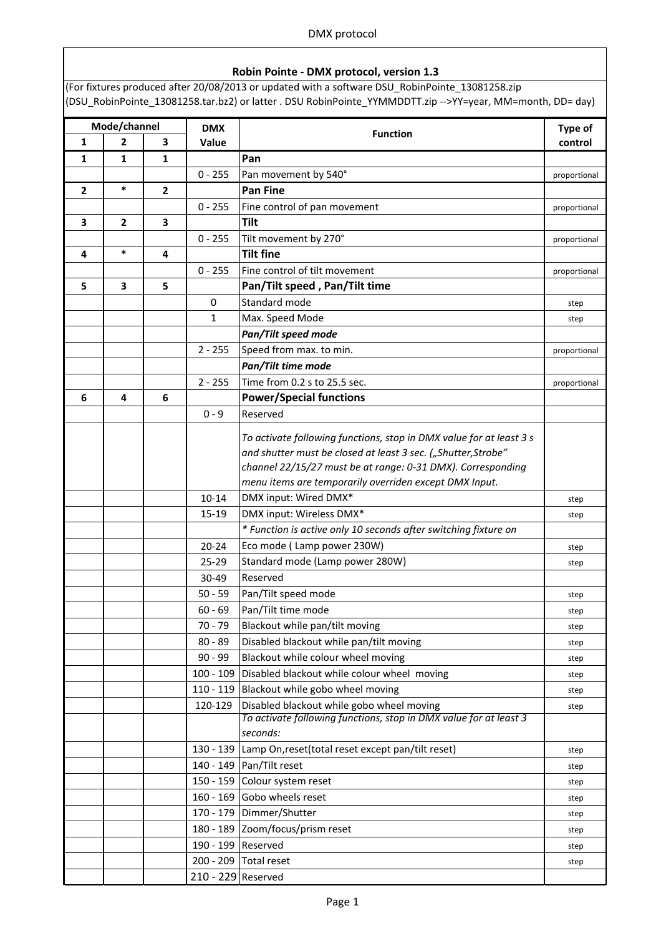#### Robin Pointe - DMX protocol, version 1.3

(For fixtures produced after 20/08/2013 or updated with a software DSU\_RobinPointe\_13081258.zip (DSU\_RobinPointe\_13081258.tar.bz2) or latter . DSU RobinPointe\_YYMMDDTT.zip -->YY=year, MM=month, DD= day)

| Mode/channel            |                | <b>DMX</b>              |                    | Type of                                                                                                        |              |
|-------------------------|----------------|-------------------------|--------------------|----------------------------------------------------------------------------------------------------------------|--------------|
| $\mathbf{1}$            | $\overline{2}$ | 3                       | Value              | <b>Function</b>                                                                                                | control      |
| $\mathbf{1}$            | 1              | $\mathbf{1}$            |                    | Pan                                                                                                            |              |
|                         |                |                         | $0 - 255$          | Pan movement by 540°                                                                                           | proportional |
| $\overline{2}$          | $\ast$         | $\mathbf{2}$            |                    | <b>Pan Fine</b>                                                                                                |              |
|                         |                |                         | $0 - 255$          | Fine control of pan movement                                                                                   | proportional |
| 3                       | $\mathbf{2}$   | $\overline{\mathbf{3}}$ |                    | <b>Tilt</b>                                                                                                    |              |
|                         |                |                         | $0 - 255$          | Tilt movement by 270°                                                                                          | proportional |
| $\overline{\mathbf{4}}$ | $\ast$         | 4                       |                    | <b>Tilt fine</b>                                                                                               |              |
|                         |                |                         | $0 - 255$          | Fine control of tilt movement                                                                                  | proportional |
| 5                       | 3              | 5                       |                    | Pan/Tilt speed, Pan/Tilt time                                                                                  |              |
|                         |                |                         | 0                  | Standard mode                                                                                                  | step         |
|                         |                |                         | 1                  | Max. Speed Mode                                                                                                | step         |
|                         |                |                         |                    | Pan/Tilt speed mode                                                                                            |              |
|                         |                |                         | $2 - 255$          | Speed from max. to min.                                                                                        | proportional |
|                         |                |                         |                    | Pan/Tilt time mode                                                                                             |              |
|                         |                |                         | $2 - 255$          | Time from 0.2 s to 25.5 sec.                                                                                   | proportional |
| 6                       | 4              | 6                       |                    | <b>Power/Special functions</b>                                                                                 |              |
|                         |                |                         | $0 - 9$            | Reserved                                                                                                       |              |
|                         |                |                         |                    | To activate following functions, stop in DMX value for at least 3 s                                            |              |
|                         |                |                         |                    | and shutter must be closed at least 3 sec. ("Shutter, Strobe"                                                  |              |
|                         |                |                         |                    | channel 22/15/27 must be at range: 0-31 DMX). Corresponding                                                    |              |
|                         |                |                         |                    | menu items are temporarily overriden except DMX Input.                                                         |              |
|                         |                |                         | $10 - 14$          | DMX input: Wired DMX*                                                                                          | step         |
|                         |                |                         | 15-19              | DMX input: Wireless DMX*                                                                                       | step         |
|                         |                |                         |                    | * Function is active only 10 seconds after switching fixture on                                                |              |
|                         |                |                         | $20 - 24$          | Eco mode (Lamp power 230W)                                                                                     | step         |
|                         |                |                         | 25-29              | Standard mode (Lamp power 280W)                                                                                | step         |
|                         |                |                         | 30-49              | Reserved                                                                                                       |              |
|                         |                |                         | $50 - 59$          | Pan/Tilt speed mode                                                                                            | step         |
|                         |                |                         | $60 - 69$          | Pan/Tilt time mode                                                                                             | step         |
|                         |                |                         | $70 - 79$          | Blackout while pan/tilt moving                                                                                 | step         |
|                         |                |                         | $80 - 89$          | Disabled blackout while pan/tilt moving                                                                        | step         |
|                         |                |                         | $90 - 99$          | Blackout while colour wheel moving                                                                             | step         |
|                         |                |                         | $100 - 109$        | Disabled blackout while colour wheel moving                                                                    | step         |
|                         |                |                         |                    | 110 - 119 Blackout while gobo wheel moving                                                                     | step         |
|                         |                |                         | 120-129            | Disabled blackout while gobo wheel moving<br>To activate following functions, stop in DMX value for at least 3 | step         |
|                         |                |                         |                    | seconds:                                                                                                       |              |
|                         |                |                         |                    | 130 - 139   Lamp On, reset (total reset except pan/tilt reset)                                                 | step         |
|                         |                |                         |                    | 140 - 149   Pan/Tilt reset                                                                                     | step         |
|                         |                |                         |                    | 150 - 159 Colour system reset                                                                                  | step         |
|                         |                |                         |                    | 160 - 169 Gobo wheels reset                                                                                    | step         |
|                         |                |                         |                    | 170 - 179 Dimmer/Shutter                                                                                       | step         |
|                         |                |                         |                    | 180 - 189 Zoom/focus/prism reset                                                                               | step         |
|                         |                |                         | 190 - 199 Reserved |                                                                                                                | step         |
|                         |                |                         |                    | 200 - 209 Total reset                                                                                          | step         |
|                         |                |                         | 210 - 229 Reserved |                                                                                                                |              |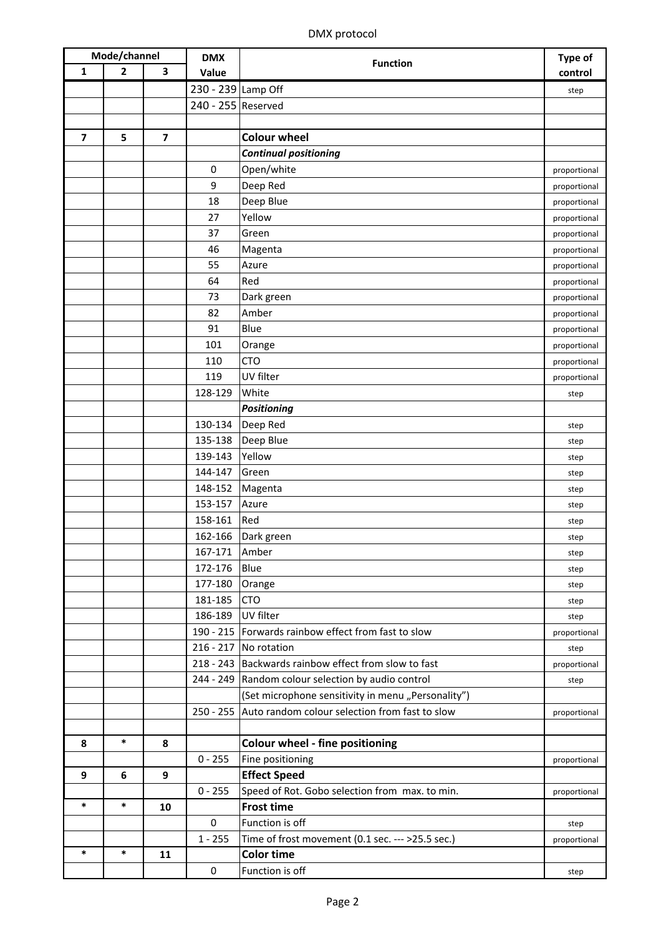| Mode/channel            |                | <b>DMX</b>              |                    | Type of                                                  |              |
|-------------------------|----------------|-------------------------|--------------------|----------------------------------------------------------|--------------|
| 1                       | $\overline{2}$ | 3                       | Value              | <b>Function</b>                                          | control      |
|                         |                |                         | 230 - 239 Lamp Off |                                                          | step         |
|                         |                |                         | 240 - 255 Reserved |                                                          |              |
|                         |                |                         |                    |                                                          |              |
| $\overline{\mathbf{z}}$ | 5              | $\overline{\mathbf{z}}$ |                    | <b>Colour wheel</b>                                      |              |
|                         |                |                         |                    | <b>Continual positioning</b>                             |              |
|                         |                |                         | $\bf{0}$           | Open/white                                               | proportional |
|                         |                |                         | 9                  | Deep Red                                                 | proportional |
|                         |                |                         | 18                 | Deep Blue                                                | proportional |
|                         |                |                         | 27                 | Yellow                                                   | proportional |
|                         |                |                         | 37                 | Green                                                    | proportional |
|                         |                |                         | 46                 | Magenta                                                  | proportional |
|                         |                |                         | 55                 | Azure                                                    | proportional |
|                         |                |                         | 64                 | Red                                                      | proportional |
|                         |                |                         | 73                 | Dark green                                               | proportional |
|                         |                |                         | 82                 | Amber                                                    | proportional |
|                         |                |                         | 91                 | Blue                                                     | proportional |
|                         |                |                         | 101                | Orange                                                   | proportional |
|                         |                |                         | 110                | <b>CTO</b>                                               | proportional |
|                         |                |                         | 119                | UV filter                                                | proportional |
|                         |                |                         | 128-129            | White                                                    | step         |
|                         |                |                         |                    | <b>Positioning</b>                                       |              |
|                         |                |                         | 130-134            | Deep Red                                                 | step         |
|                         |                |                         | 135-138            | Deep Blue                                                | step         |
|                         |                |                         | 139-143            | Yellow                                                   | step         |
|                         |                |                         | 144-147            | Green                                                    | step         |
|                         |                |                         | 148-152            | Magenta                                                  | step         |
|                         |                |                         | 153-157            | Azure                                                    | step         |
|                         |                |                         | 158-161            | Red                                                      | step         |
|                         |                |                         | 162-166            | Dark green                                               | step         |
|                         |                |                         | 167-171            | Amber                                                    | step         |
|                         |                |                         | 172-176            | Blue                                                     | step         |
|                         |                |                         | 177-180            | Orange                                                   | step         |
|                         |                |                         | 181-185            | <b>CTO</b>                                               | step         |
|                         |                |                         | 186-189            | UV filter                                                | step         |
|                         |                |                         |                    | 190 - 215 Forwards rainbow effect from fast to slow      | proportional |
|                         |                |                         |                    | 216 - 217 No rotation                                    | step         |
|                         |                |                         |                    | 218 - 243 Backwards rainbow effect from slow to fast     | proportional |
|                         |                |                         |                    | 244 - 249 Random colour selection by audio control       | step         |
|                         |                |                         |                    | (Set microphone sensitivity in menu "Personality")       |              |
|                         |                |                         |                    | 250 - 255 Auto random colour selection from fast to slow | proportional |
|                         |                |                         |                    |                                                          |              |
| 8                       | *              | 8                       |                    | <b>Colour wheel - fine positioning</b>                   |              |
|                         |                |                         | $0 - 255$          | Fine positioning                                         | proportional |
| 9                       | 6              | 9                       |                    | <b>Effect Speed</b>                                      |              |
|                         |                |                         | $0 - 255$          | Speed of Rot. Gobo selection from max. to min.           | proportional |
| $\ast$                  | $\ast$         | 10                      |                    | <b>Frost time</b>                                        |              |
|                         |                |                         | $\mathbf 0$        | Function is off                                          | step         |
| *                       | *              |                         | $1 - 255$          | Time of frost movement (0.1 sec. --- >25.5 sec.)         | proportional |
|                         |                | 11                      |                    | <b>Color time</b>                                        |              |
|                         |                |                         | $\pmb{0}$          | Function is off                                          | step         |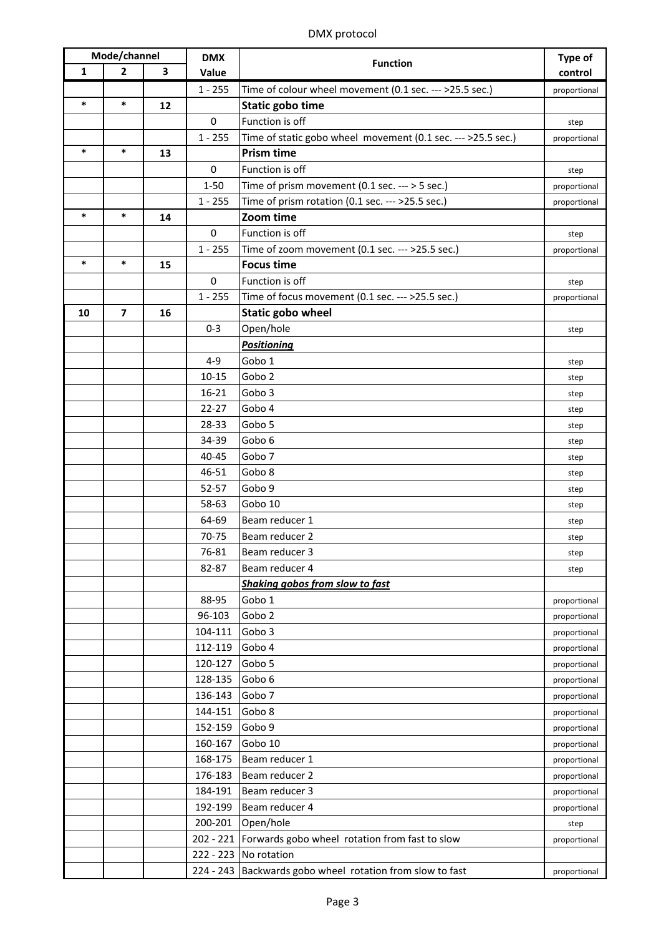| Mode/channel |                | <b>DMX</b> |             | Type of                                                      |              |
|--------------|----------------|------------|-------------|--------------------------------------------------------------|--------------|
| 1            | $\overline{2}$ | 3          | Value       | <b>Function</b>                                              | control      |
|              |                |            | $1 - 255$   | Time of colour wheel movement (0.1 sec. --- >25.5 sec.)      | proportional |
| *            | *              | 12         |             | <b>Static gobo time</b>                                      |              |
|              |                |            | $\mathbf 0$ | Function is off                                              | step         |
|              |                |            | $1 - 255$   | Time of static gobo wheel movement (0.1 sec. --- >25.5 sec.) | proportional |
| $\ast$       | $\ast$         | 13         |             | <b>Prism time</b>                                            |              |
|              |                |            | $\mathbf 0$ | Function is off                                              | step         |
|              |                |            | $1 - 50$    | Time of prism movement $(0.1$ sec. --- > 5 sec.)             | proportional |
|              |                |            | $1 - 255$   | Time of prism rotation (0.1 sec. --- >25.5 sec.)             | proportional |
| *            | *              | 14         |             | Zoom time                                                    |              |
|              |                |            | $\mathbf 0$ | Function is off                                              | step         |
|              |                |            | $1 - 255$   | Time of zoom movement (0.1 sec. --- >25.5 sec.)              | proportional |
| *            | *              | 15         |             | <b>Focus time</b>                                            |              |
|              |                |            | $\mathbf 0$ | Function is off                                              | step         |
|              |                |            | $1 - 255$   | Time of focus movement (0.1 sec. --- >25.5 sec.)             | proportional |
| 10           | $\overline{ }$ | 16         |             | Static gobo wheel                                            |              |
|              |                |            | $0 - 3$     | Open/hole                                                    | step         |
|              |                |            |             | <b>Positioning</b>                                           |              |
|              |                |            | $4 - 9$     | Gobo 1                                                       | step         |
|              |                |            | $10 - 15$   | Gobo <sub>2</sub>                                            | step         |
|              |                |            | $16 - 21$   | Gobo 3                                                       | step         |
|              |                |            | $22 - 27$   | Gobo 4                                                       | step         |
|              |                |            | 28-33       | Gobo 5                                                       | step         |
|              |                |            | 34-39       | Gobo 6                                                       | step         |
|              |                |            | 40-45       | Gobo 7                                                       | step         |
|              |                |            | 46-51       | Gobo 8                                                       | step         |
|              |                |            | 52-57       | Gobo 9                                                       | step         |
|              |                |            | 58-63       | Gobo 10                                                      | step         |
|              |                |            | 64-69       | Beam reducer 1                                               | step         |
|              |                |            | 70-75       | Beam reducer 2                                               | step         |
|              |                |            | 76-81       | Beam reducer 3                                               | step         |
|              |                |            | 82-87       | Beam reducer 4                                               | step         |
|              |                |            |             | Shaking gobos from slow to fast                              |              |
|              |                |            | 88-95       | Gobo 1                                                       | proportional |
|              |                |            | 96-103      | Gobo <sub>2</sub>                                            | proportional |
|              |                |            | 104-111     | Gobo 3                                                       | proportional |
|              |                |            | 112-119     | Gobo 4                                                       | proportional |
|              |                |            | 120-127     | Gobo 5                                                       | proportional |
|              |                |            | 128-135     | Gobo 6                                                       | proportional |
|              |                |            | 136-143     | Gobo 7                                                       | proportional |
|              |                |            | 144-151     | Gobo 8                                                       | proportional |
|              |                |            | 152-159     | Gobo 9                                                       | proportional |
|              |                |            | 160-167     | Gobo 10                                                      | proportional |
|              |                |            | 168-175     | Beam reducer 1                                               | proportional |
|              |                |            | 176-183     | Beam reducer 2                                               | proportional |
|              |                |            | 184-191     | Beam reducer 3                                               | proportional |
|              |                |            | 192-199     | Beam reducer 4                                               | proportional |
|              |                |            | 200-201     | Open/hole                                                    | step         |
|              |                |            |             | 202 - 221 Forwards gobo wheel rotation from fast to slow     | proportional |
|              |                |            |             | 222 - 223 No rotation                                        |              |
|              |                |            |             | 224 - 243 Backwards gobo wheel rotation from slow to fast    | proportional |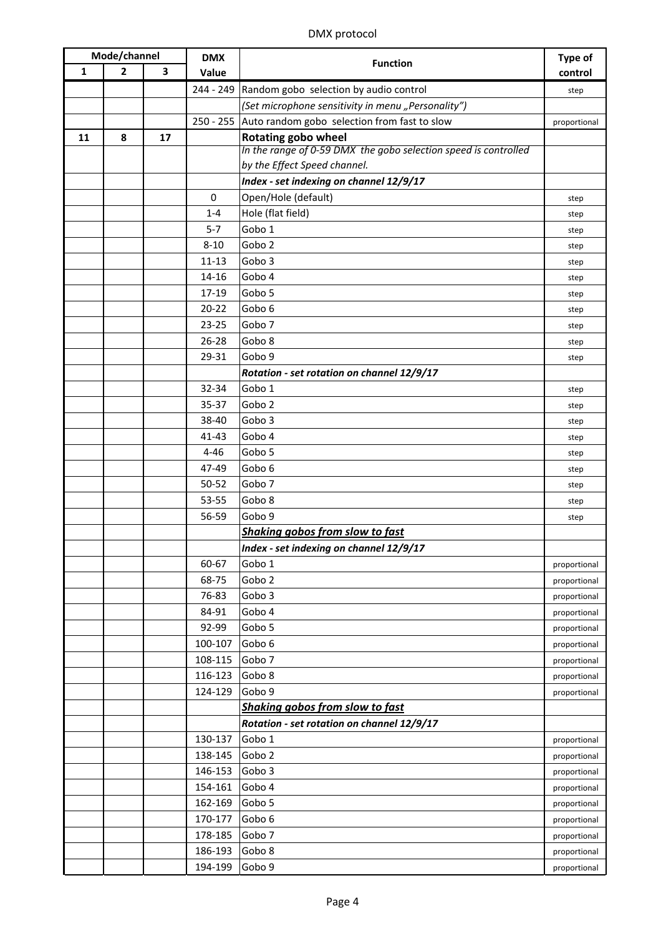| Mode/channel |              | <b>DMX</b> |           | Type of                                                         |              |
|--------------|--------------|------------|-----------|-----------------------------------------------------------------|--------------|
| $\mathbf{1}$ | $\mathbf{2}$ | 3          | Value     | <b>Function</b>                                                 | control      |
|              |              |            |           | 244 - 249 Random gobo selection by audio control                | step         |
|              |              |            |           | (Set microphone sensitivity in menu "Personality")              |              |
|              |              |            |           | 250 - 255 Auto random gobo selection from fast to slow          | proportional |
| 11           | 8            | 17         |           | <b>Rotating gobo wheel</b>                                      |              |
|              |              |            |           | In the range of 0-59 DMX the gobo selection speed is controlled |              |
|              |              |            |           | by the Effect Speed channel.                                    |              |
|              |              |            |           | Index - set indexing on channel 12/9/17                         |              |
|              |              |            | $\Omega$  | Open/Hole (default)                                             | step         |
|              |              |            | $1 - 4$   | Hole (flat field)                                               | step         |
|              |              |            | $5 - 7$   | Gobo 1                                                          | step         |
|              |              |            | $8 - 10$  | Gobo <sub>2</sub>                                               | step         |
|              |              |            | $11 - 13$ | Gobo <sub>3</sub>                                               | step         |
|              |              |            | 14-16     | Gobo 4                                                          | step         |
|              |              |            | 17-19     | Gobo 5                                                          | step         |
|              |              |            | $20 - 22$ | Gobo 6                                                          | step         |
|              |              |            | 23-25     | Gobo <sub>7</sub>                                               | step         |
|              |              |            | $26 - 28$ | Gobo 8                                                          | step         |
|              |              |            | 29-31     | Gobo 9                                                          | step         |
|              |              |            |           | Rotation - set rotation on channel 12/9/17                      |              |
|              |              |            | 32-34     | Gobo 1                                                          | step         |
|              |              |            | 35-37     | Gobo <sub>2</sub>                                               | step         |
|              |              |            | 38-40     | Gobo <sub>3</sub>                                               | step         |
|              |              |            | 41-43     | Gobo 4                                                          | step         |
|              |              |            | $4 - 46$  | Gobo 5                                                          | step         |
|              |              |            | 47-49     | Gobo 6                                                          | step         |
|              |              |            | 50-52     | Gobo <sub>7</sub>                                               | step         |
|              |              |            | 53-55     | Gobo 8                                                          | step         |
|              |              |            | 56-59     | Gobo 9                                                          | step         |
|              |              |            |           | Shaking gobos from slow to fast                                 |              |
|              |              |            |           | Index - set indexing on channel 12/9/17                         |              |
|              |              |            | 60-67     | Gobo 1                                                          | proportional |
|              |              |            | 68-75     | Gobo <sub>2</sub>                                               | proportional |
|              |              |            | 76-83     | Gobo 3                                                          | proportional |
|              |              |            | 84-91     | Gobo 4                                                          | proportional |
|              |              |            | 92-99     | Gobo 5                                                          | proportional |
|              |              |            | 100-107   | Gobo 6                                                          | proportional |
|              |              |            | 108-115   | Gobo 7                                                          | proportional |
|              |              |            | 116-123   | Gobo 8                                                          | proportional |
|              |              |            | 124-129   | Gobo 9                                                          | proportional |
|              |              |            |           | Shaking gobos from slow to fast                                 |              |
|              |              |            |           | Rotation - set rotation on channel 12/9/17                      |              |
|              |              |            | 130-137   | Gobo 1                                                          | proportional |
|              |              |            | 138-145   | Gobo 2                                                          | proportional |
|              |              |            | 146-153   | Gobo 3                                                          | proportional |
|              |              |            | 154-161   | Gobo 4                                                          | proportional |
|              |              |            | 162-169   | Gobo 5                                                          | proportional |
|              |              |            | 170-177   | Gobo 6                                                          | proportional |
|              |              |            | 178-185   | Gobo 7                                                          | proportional |
|              |              |            | 186-193   | Gobo 8                                                          | proportional |
|              |              |            | 194-199   | Gobo 9                                                          | proportional |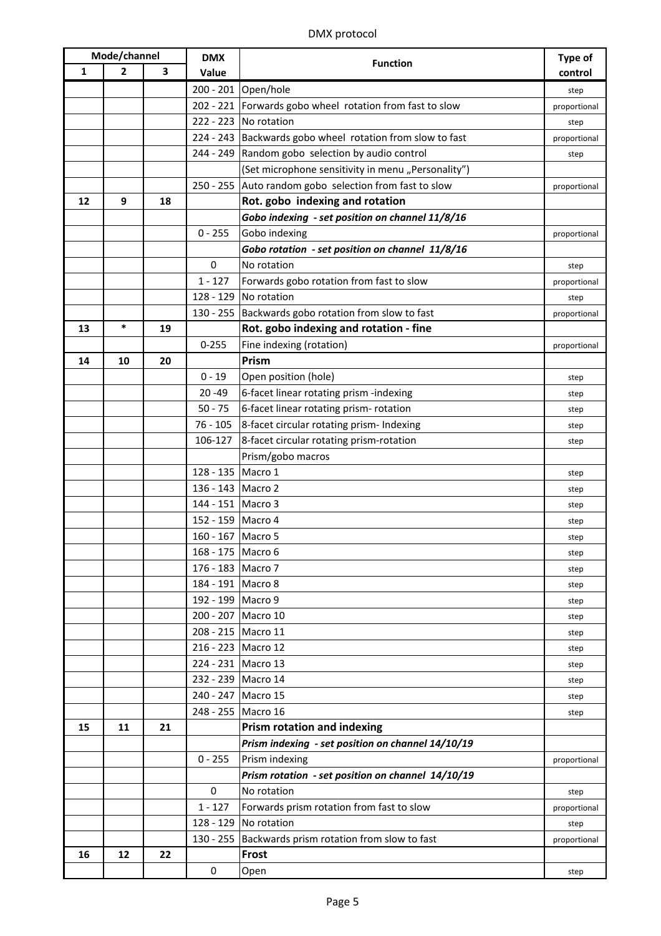| Mode/channel |                | <b>DMX</b> |                    | <b>Type of</b>                                            |              |
|--------------|----------------|------------|--------------------|-----------------------------------------------------------|--------------|
| 1            | $\overline{2}$ | 3          | Value              | <b>Function</b>                                           | control      |
|              |                |            |                    | 200 - 201 Open/hole                                       | step         |
|              |                |            |                    | 202 - 221 Forwards gobo wheel rotation from fast to slow  | proportional |
|              |                |            |                    | 222 - 223 No rotation                                     | step         |
|              |                |            |                    | 224 - 243 Backwards gobo wheel rotation from slow to fast | proportional |
|              |                |            |                    | 244 - 249 Random gobo selection by audio control          | step         |
|              |                |            |                    | (Set microphone sensitivity in menu "Personality")        |              |
|              |                |            |                    | 250 - 255 Auto random gobo selection from fast to slow    | proportional |
| 12           | 9              | 18         |                    | Rot. gobo indexing and rotation                           |              |
|              |                |            |                    | Gobo indexing - set position on channel 11/8/16           |              |
|              |                |            | $0 - 255$          | Gobo indexing                                             | proportional |
|              |                |            |                    | Gobo rotation - set position on channel 11/8/16           |              |
|              |                |            | $\mathbf 0$        | No rotation                                               | step         |
|              |                |            | $1 - 127$          | Forwards gobo rotation from fast to slow                  | proportional |
|              |                |            |                    | 128 - 129 No rotation                                     | step         |
|              |                |            |                    | 130 - 255 Backwards gobo rotation from slow to fast       | proportional |
| 13           | $\ast$         | 19         |                    | Rot. gobo indexing and rotation - fine                    |              |
|              |                |            | $0 - 255$          | Fine indexing (rotation)                                  | proportional |
| 14           | 10             | 20         |                    | Prism                                                     |              |
|              |                |            | $0 - 19$           | Open position (hole)                                      | step         |
|              |                |            | $20 - 49$          | 6-facet linear rotating prism -indexing                   | step         |
|              |                |            | $50 - 75$          | 6-facet linear rotating prism- rotation                   | step         |
|              |                |            | $76 - 105$         | 8-facet circular rotating prism- Indexing                 | step         |
|              |                |            | 106-127            | 8-facet circular rotating prism-rotation                  | step         |
|              |                |            |                    | Prism/gobo macros                                         |              |
|              |                |            | 128 - 135 Macro 1  |                                                           | step         |
|              |                |            | 136 - 143 Macro 2  |                                                           | step         |
|              |                |            | 144 - 151 Macro 3  |                                                           | step         |
|              |                |            | 152 - 159 Macro 4  |                                                           | step         |
|              |                |            | 160 - 167 Macro 5  |                                                           | step         |
|              |                |            | 168 - 175 Macro 6  |                                                           | step         |
|              |                |            | 176 - 183 Macro 7  |                                                           | step         |
|              |                |            | 184 - 191 Macro 8  |                                                           | step         |
|              |                |            | 192 - 199 Macro 9  |                                                           | step         |
|              |                |            |                    | 200 - 207 Macro 10                                        | step         |
|              |                |            | 208 - 215 Macro 11 |                                                           | step         |
|              |                |            |                    | 216 - 223 Macro 12                                        | step         |
|              |                |            | 224 - 231 Macro 13 |                                                           | step         |
|              |                |            |                    | 232 - 239 Macro 14                                        | step         |
|              |                |            |                    | 240 - 247 Macro 15                                        | step         |
|              |                |            | 248 - 255 Macro 16 |                                                           | step         |
| 15           | 11             | 21         |                    | <b>Prism rotation and indexing</b>                        |              |
|              |                |            |                    | Prism indexing - set position on channel 14/10/19         |              |
|              |                |            | $0 - 255$          | Prism indexing                                            | proportional |
|              |                |            |                    | Prism rotation - set position on channel 14/10/19         |              |
|              |                |            | $\mathbf 0$        | No rotation                                               | step         |
|              |                |            | $1 - 127$          | Forwards prism rotation from fast to slow                 | proportional |
|              |                |            |                    | 128 - 129 No rotation                                     | step         |
|              |                |            |                    | 130 - 255 Backwards prism rotation from slow to fast      | proportional |
| 16           | 12             | 22         |                    | Frost                                                     |              |
|              |                |            | 0                  | Open                                                      | step         |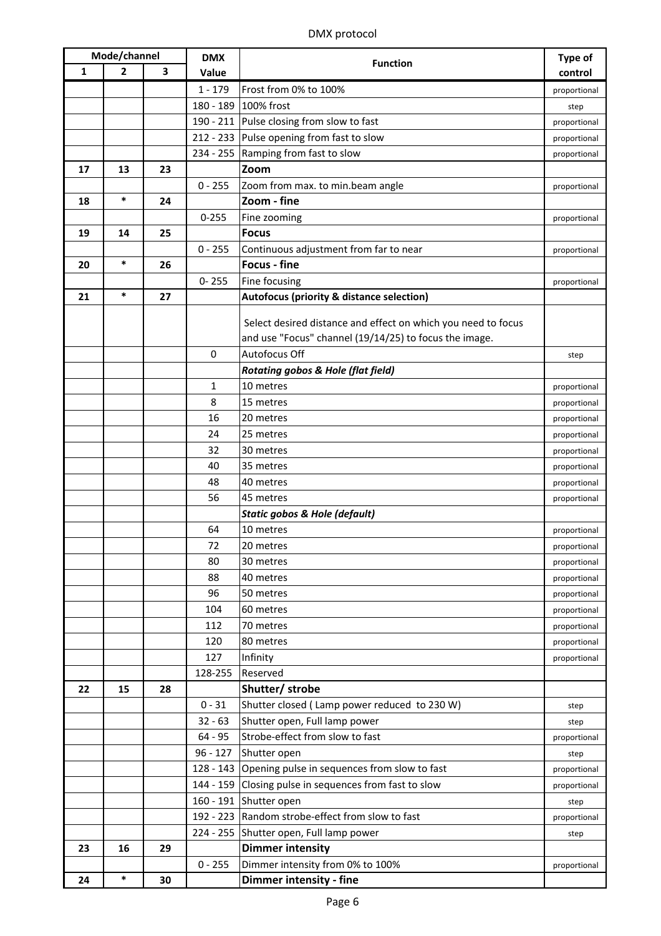|              | Mode/channel<br><b>DMX</b> |    |             |                                                               | Type of      |
|--------------|----------------------------|----|-------------|---------------------------------------------------------------|--------------|
| $\mathbf{1}$ | $\overline{2}$             | 3  | Value       | <b>Function</b>                                               | control      |
|              |                            |    | $1 - 179$   | Frost from 0% to 100%                                         | proportional |
|              |                            |    |             | 180 - 189 100% frost                                          | step         |
|              |                            |    |             | 190 - 211 Pulse closing from slow to fast                     | proportional |
|              |                            |    |             | 212 - 233 Pulse opening from fast to slow                     | proportional |
|              |                            |    |             | 234 - 255 Ramping from fast to slow                           | proportional |
| 17           | 13                         | 23 |             | Zoom                                                          |              |
|              |                            |    | $0 - 255$   | Zoom from max. to min.beam angle                              | proportional |
| 18           | $\ast$                     | 24 |             | Zoom - fine                                                   |              |
|              |                            |    | $0 - 255$   | Fine zooming                                                  | proportional |
| 19           | 14                         | 25 |             | <b>Focus</b>                                                  |              |
|              |                            |    | $0 - 255$   | Continuous adjustment from far to near                        | proportional |
| 20           | $\ast$                     | 26 |             | <b>Focus - fine</b>                                           |              |
|              |                            |    | $0 - 255$   | Fine focusing                                                 | proportional |
| 21           | $\ast$                     | 27 |             | Autofocus (priority & distance selection)                     |              |
|              |                            |    |             |                                                               |              |
|              |                            |    |             | Select desired distance and effect on which you need to focus |              |
|              |                            |    |             | and use "Focus" channel (19/14/25) to focus the image.        |              |
|              |                            |    | $\mathbf 0$ | Autofocus Off                                                 | step         |
|              |                            |    |             | <b>Rotating gobos &amp; Hole (flat field)</b>                 |              |
|              |                            |    | 1           | 10 metres                                                     | proportional |
|              |                            |    | 8           | 15 metres                                                     | proportional |
|              |                            |    | 16          | 20 metres                                                     | proportional |
|              |                            |    | 24          | 25 metres                                                     | proportional |
|              |                            |    | 32          | 30 metres                                                     | proportional |
|              |                            |    | 40          | 35 metres                                                     | proportional |
|              |                            |    | 48          | 40 metres                                                     | proportional |
|              |                            |    | 56          | 45 metres                                                     | proportional |
|              |                            |    |             | <b>Static gobos &amp; Hole (default)</b>                      |              |
|              |                            |    | 64          | 10 metres                                                     | proportional |
|              |                            |    | 72          | 20 metres                                                     | proportional |
|              |                            |    | 80          | 30 metres                                                     | proportional |
|              |                            |    | 88          | 40 metres                                                     | proportional |
|              |                            |    | 96          | 50 metres                                                     | proportional |
|              |                            |    | 104         | 60 metres                                                     | proportional |
|              |                            |    | 112         | 70 metres                                                     | proportional |
|              |                            |    | 120         | 80 metres                                                     | proportional |
|              |                            |    | 127         | Infinity                                                      | proportional |
|              |                            |    | 128-255     | Reserved                                                      |              |
| 22           | 15                         | 28 |             | Shutter/ strobe                                               |              |
|              |                            |    | $0 - 31$    | Shutter closed (Lamp power reduced to 230 W)                  | step         |
|              |                            |    | $32 - 63$   | Shutter open, Full lamp power                                 | step         |
|              |                            |    | $64 - 95$   | Strobe-effect from slow to fast                               | proportional |
|              |                            |    | $96 - 127$  | Shutter open                                                  | step         |
|              |                            |    |             | 128 - 143 Opening pulse in sequences from slow to fast        | proportional |
|              |                            |    |             | 144 - 159 Closing pulse in sequences from fast to slow        | proportional |
|              |                            |    |             | 160 - 191 Shutter open                                        | step         |
|              |                            |    |             | 192 - 223 Random strobe-effect from slow to fast              | proportional |
|              |                            |    |             | 224 - 255 Shutter open, Full lamp power                       | step         |
| 23           | 16                         | 29 |             | <b>Dimmer intensity</b>                                       |              |
|              |                            |    | $0 - 255$   | Dimmer intensity from 0% to 100%                              | proportional |
| 24           | $\ast$                     | 30 |             | Dimmer intensity - fine                                       |              |